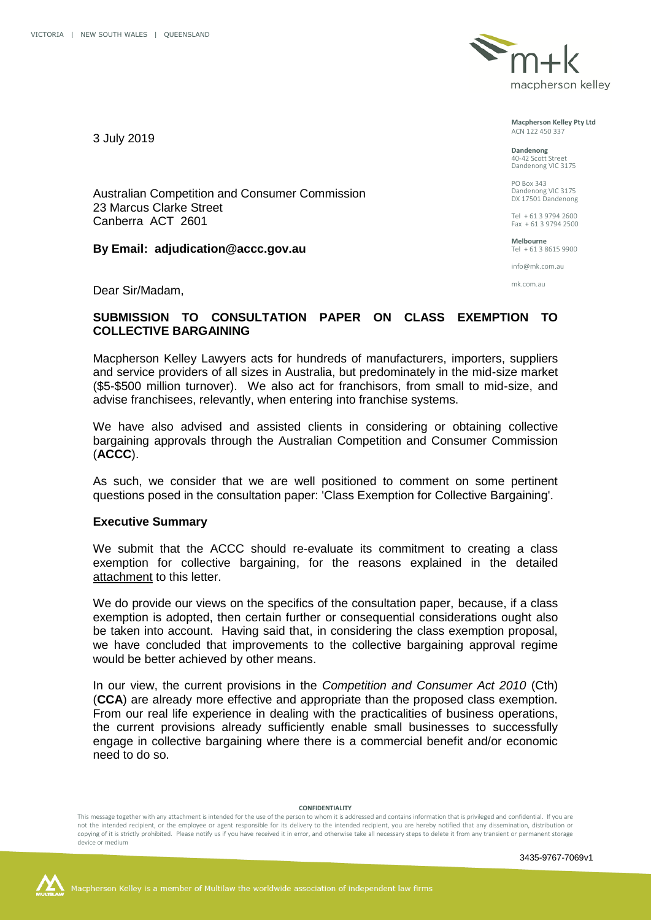3 July 2019



**Macpherson Kelley Pty Ltd** ACN 122 450 337

**Dandenong** 40-42 Scott Street Dandenong VIC 3175

PO Box 343 Dandenong VIC 3175 DX 17501 Dandenong

Tel + 61 3 9794 2600 Fax + 61 3 9794 2500

**Melbourne** Tel + 61 3 8615 9900

info@mk.com.au

mk.com.au

Dear Sir/Madam,

23 Marcus Clarke Street Canberra ACT 2601

Australian Competition and Consumer Commission

**By Email: adjudication@accc.gov.au**

# **SUBMISSION TO CONSULTATION PAPER ON CLASS EXEMPTION TO COLLECTIVE BARGAINING**

Macpherson Kelley Lawyers acts for hundreds of manufacturers, importers, suppliers and service providers of all sizes in Australia, but predominately in the mid-size market (\$5-\$500 million turnover). We also act for franchisors, from small to mid-size, and advise franchisees, relevantly, when entering into franchise systems.

We have also advised and assisted clients in considering or obtaining collective bargaining approvals through the Australian Competition and Consumer Commission (**ACCC**).

As such, we consider that we are well positioned to comment on some pertinent questions posed in the consultation paper: 'Class Exemption for Collective Bargaining'.

## **Executive Summary**

We submit that the ACCC should re-evaluate its commitment to creating a class exemption for collective bargaining, for the reasons explained in the detailed attachment to this letter.

We do provide our views on the specifics of the consultation paper, because, if a class exemption is adopted, then certain further or consequential considerations ought also be taken into account. Having said that, in considering the class exemption proposal, we have concluded that improvements to the collective bargaining approval regime would be better achieved by other means.

In our view, the current provisions in the *Competition and Consumer Act 2010* (Cth) (**CCA**) are already more effective and appropriate than the proposed class exemption. From our real life experience in dealing with the practicalities of business operations, the current provisions already sufficiently enable small businesses to successfully engage in collective bargaining where there is a commercial benefit and/or economic need to do so.

#### **CONFIDENTIALITY**

This message together with any attachment is intended for the use of the person to whom it is addressed and contains information that is privileged and confidential. If you are not the intended recipient, or the employee or agent responsible for its delivery to the intended recipient, you are hereby notified that any dissemination, distribution or copying of it is strictly prohibited. Please notify us if you have received it in error, and otherwise take all necessary steps to delete it from any transient or permanent storage device or medium



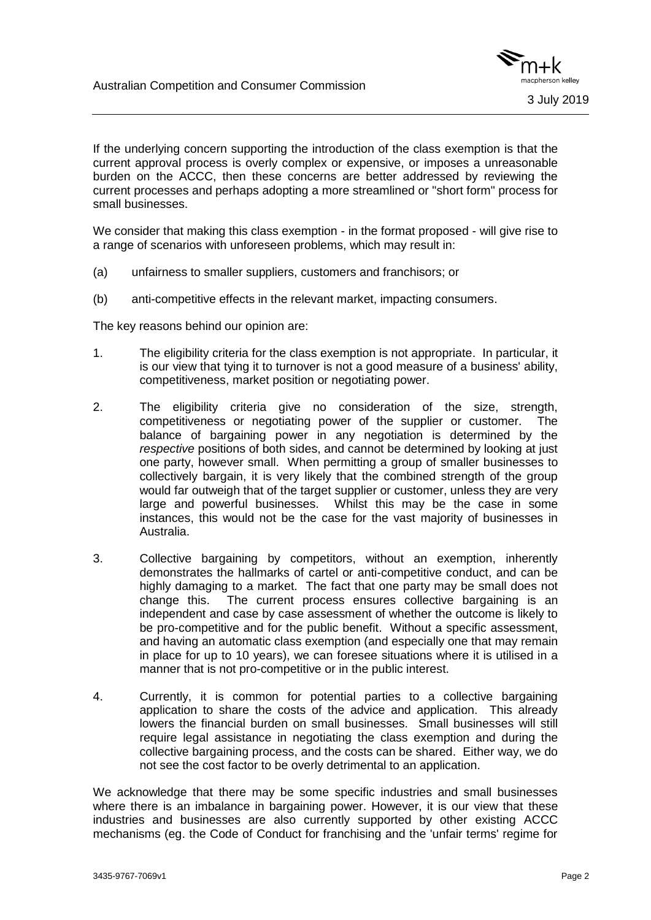

If the underlying concern supporting the introduction of the class exemption is that the current approval process is overly complex or expensive, or imposes a unreasonable burden on the ACCC, then these concerns are better addressed by reviewing the current processes and perhaps adopting a more streamlined or "short form" process for small businesses.

We consider that making this class exemption - in the format proposed - will give rise to a range of scenarios with unforeseen problems, which may result in:

- (a) unfairness to smaller suppliers, customers and franchisors; or
- (b) anti-competitive effects in the relevant market, impacting consumers.

The key reasons behind our opinion are:

- 1. The eligibility criteria for the class exemption is not appropriate. In particular, it is our view that tying it to turnover is not a good measure of a business' ability, competitiveness, market position or negotiating power.
- 2. The eligibility criteria give no consideration of the size, strength, competitiveness or negotiating power of the supplier or customer. The balance of bargaining power in any negotiation is determined by the *respective* positions of both sides, and cannot be determined by looking at just one party, however small. When permitting a group of smaller businesses to collectively bargain, it is very likely that the combined strength of the group would far outweigh that of the target supplier or customer, unless they are very large and powerful businesses. Whilst this may be the case in some instances, this would not be the case for the vast majority of businesses in Australia.
- 3. Collective bargaining by competitors, without an exemption, inherently demonstrates the hallmarks of cartel or anti-competitive conduct, and can be highly damaging to a market. The fact that one party may be small does not change this. The current process ensures collective bargaining is an independent and case by case assessment of whether the outcome is likely to be pro-competitive and for the public benefit. Without a specific assessment, and having an automatic class exemption (and especially one that may remain in place for up to 10 years), we can foresee situations where it is utilised in a manner that is not pro-competitive or in the public interest.
- 4. Currently, it is common for potential parties to a collective bargaining application to share the costs of the advice and application. This already lowers the financial burden on small businesses. Small businesses will still require legal assistance in negotiating the class exemption and during the collective bargaining process, and the costs can be shared. Either way, we do not see the cost factor to be overly detrimental to an application.

We acknowledge that there may be some specific industries and small businesses where there is an imbalance in bargaining power. However, it is our view that these industries and businesses are also currently supported by other existing ACCC mechanisms (eg. the Code of Conduct for franchising and the 'unfair terms' regime for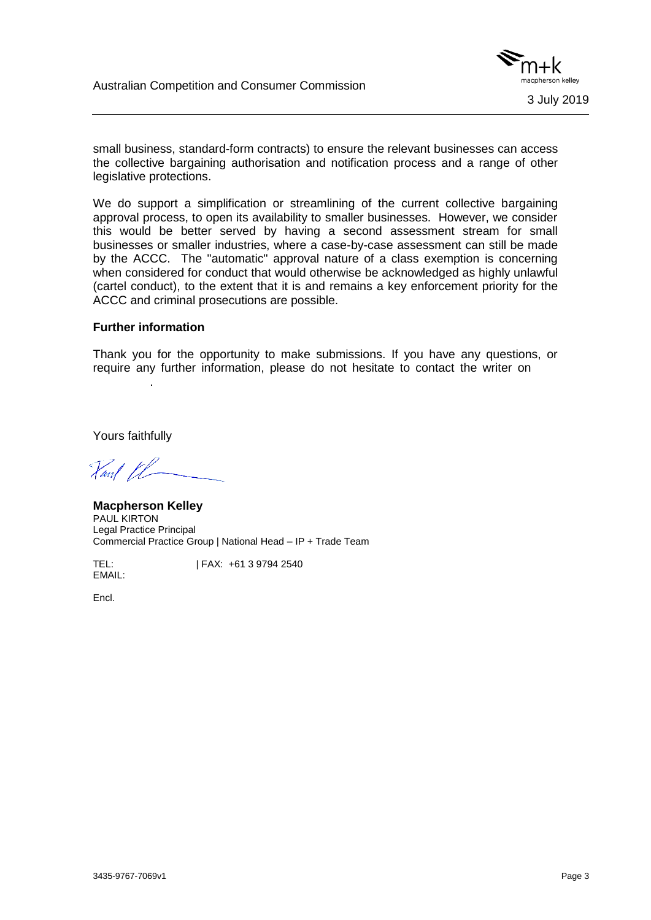

small business, standard-form contracts) to ensure the relevant businesses can access the collective bargaining authorisation and notification process and a range of other legislative protections.

We do support a simplification or streamlining of the current collective bargaining approval process, to open its availability to smaller businesses. However, we consider this would be better served by having a second assessment stream for small businesses or smaller industries, where a case-by-case assessment can still be made by the ACCC. The "automatic" approval nature of a class exemption is concerning when considered for conduct that would otherwise be acknowledged as highly unlawful (cartel conduct), to the extent that it is and remains a key enforcement priority for the ACCC and criminal prosecutions are possible.

## **Further information**

.

Thank you for the opportunity to make submissions. If you have any questions, or require any further information, please do not hesitate to contact the writer on

Yours faithfully

Vant VL

**Macpherson Kelley**  PAUL KIRTON Legal Practice Principal Commercial Practice Group | National Head – IP + Trade Team

TEL:  $| FAX: +61 3 9794 2540$ 

Encl.

EMAIL: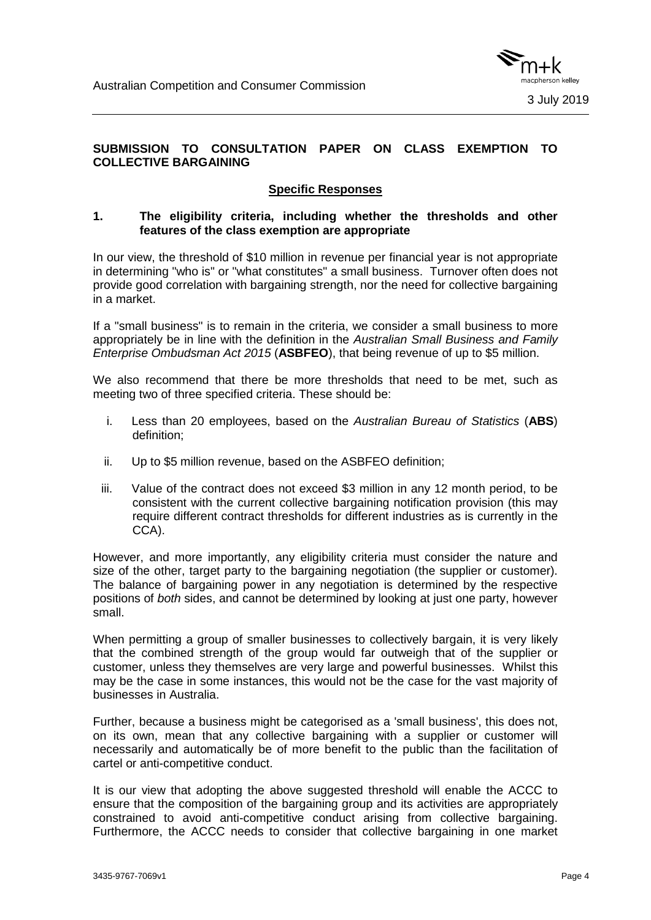

# **SUBMISSION TO CONSULTATION PAPER ON CLASS EXEMPTION TO COLLECTIVE BARGAINING**

# **Specific Responses**

## **1. The eligibility criteria, including whether the thresholds and other features of the class exemption are appropriate**

In our view, the threshold of \$10 million in revenue per financial year is not appropriate in determining "who is" or "what constitutes" a small business. Turnover often does not provide good correlation with bargaining strength, nor the need for collective bargaining in a market.

If a "small business" is to remain in the criteria, we consider a small business to more appropriately be in line with the definition in the *Australian Small Business and Family Enterprise Ombudsman Act 2015* (**ASBFEO**), that being revenue of up to \$5 million.

We also recommend that there be more thresholds that need to be met, such as meeting two of three specified criteria. These should be:

- i. Less than 20 employees, based on the *Australian Bureau of Statistics* (**ABS**) definition;
- ii. Up to \$5 million revenue, based on the ASBFEO definition;
- iii. Value of the contract does not exceed \$3 million in any 12 month period, to be consistent with the current collective bargaining notification provision (this may require different contract thresholds for different industries as is currently in the CCA).

However, and more importantly, any eligibility criteria must consider the nature and size of the other, target party to the bargaining negotiation (the supplier or customer). The balance of bargaining power in any negotiation is determined by the respective positions of *both* sides, and cannot be determined by looking at just one party, however small.

When permitting a group of smaller businesses to collectively bargain, it is very likely that the combined strength of the group would far outweigh that of the supplier or customer, unless they themselves are very large and powerful businesses. Whilst this may be the case in some instances, this would not be the case for the vast majority of businesses in Australia.

Further, because a business might be categorised as a 'small business', this does not, on its own, mean that any collective bargaining with a supplier or customer will necessarily and automatically be of more benefit to the public than the facilitation of cartel or anti-competitive conduct.

It is our view that adopting the above suggested threshold will enable the ACCC to ensure that the composition of the bargaining group and its activities are appropriately constrained to avoid anti-competitive conduct arising from collective bargaining. Furthermore, the ACCC needs to consider that collective bargaining in one market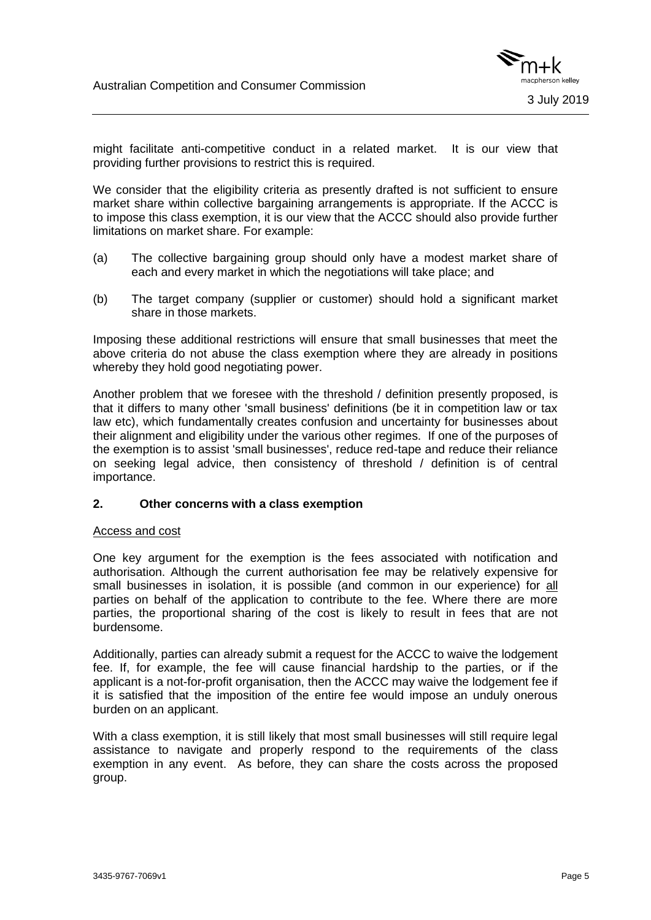

might facilitate anti-competitive conduct in a related market. It is our view that providing further provisions to restrict this is required.

We consider that the eligibility criteria as presently drafted is not sufficient to ensure market share within collective bargaining arrangements is appropriate. If the ACCC is to impose this class exemption, it is our view that the ACCC should also provide further limitations on market share. For example:

- (a) The collective bargaining group should only have a modest market share of each and every market in which the negotiations will take place; and
- (b) The target company (supplier or customer) should hold a significant market share in those markets.

Imposing these additional restrictions will ensure that small businesses that meet the above criteria do not abuse the class exemption where they are already in positions whereby they hold good negotiating power.

Another problem that we foresee with the threshold / definition presently proposed, is that it differs to many other 'small business' definitions (be it in competition law or tax law etc), which fundamentally creates confusion and uncertainty for businesses about their alignment and eligibility under the various other regimes. If one of the purposes of the exemption is to assist 'small businesses', reduce red-tape and reduce their reliance on seeking legal advice, then consistency of threshold / definition is of central importance.

## **2. Other concerns with a class exemption**

#### Access and cost

One key argument for the exemption is the fees associated with notification and authorisation. Although the current authorisation fee may be relatively expensive for small businesses in isolation, it is possible (and common in our experience) for all parties on behalf of the application to contribute to the fee. Where there are more parties, the proportional sharing of the cost is likely to result in fees that are not burdensome.

Additionally, parties can already submit a request for the ACCC to waive the lodgement fee. If, for example, the fee will cause financial hardship to the parties, or if the applicant is a not-for-profit organisation, then the ACCC may waive the lodgement fee if it is satisfied that the imposition of the entire fee would impose an unduly onerous burden on an applicant.

With a class exemption, it is still likely that most small businesses will still require legal assistance to navigate and properly respond to the requirements of the class exemption in any event. As before, they can share the costs across the proposed group.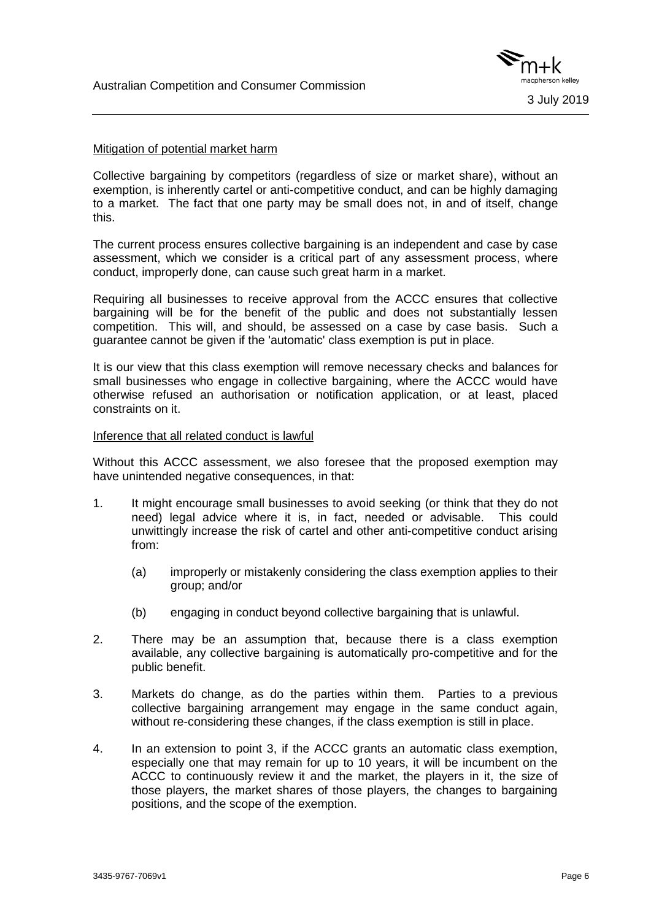

## Mitigation of potential market harm

Collective bargaining by competitors (regardless of size or market share), without an exemption, is inherently cartel or anti-competitive conduct, and can be highly damaging to a market. The fact that one party may be small does not, in and of itself, change this.

The current process ensures collective bargaining is an independent and case by case assessment, which we consider is a critical part of any assessment process, where conduct, improperly done, can cause such great harm in a market.

Requiring all businesses to receive approval from the ACCC ensures that collective bargaining will be for the benefit of the public and does not substantially lessen competition. This will, and should, be assessed on a case by case basis. Such a guarantee cannot be given if the 'automatic' class exemption is put in place.

It is our view that this class exemption will remove necessary checks and balances for small businesses who engage in collective bargaining, where the ACCC would have otherwise refused an authorisation or notification application, or at least, placed constraints on it.

#### Inference that all related conduct is lawful

Without this ACCC assessment, we also foresee that the proposed exemption may have unintended negative consequences, in that:

- 1. It might encourage small businesses to avoid seeking (or think that they do not need) legal advice where it is, in fact, needed or advisable. This could unwittingly increase the risk of cartel and other anti-competitive conduct arising from:
	- (a) improperly or mistakenly considering the class exemption applies to their group; and/or
	- (b) engaging in conduct beyond collective bargaining that is unlawful.
- 2. There may be an assumption that, because there is a class exemption available, any collective bargaining is automatically pro-competitive and for the public benefit.
- 3. Markets do change, as do the parties within them. Parties to a previous collective bargaining arrangement may engage in the same conduct again, without re-considering these changes, if the class exemption is still in place.
- 4. In an extension to point 3, if the ACCC grants an automatic class exemption, especially one that may remain for up to 10 years, it will be incumbent on the ACCC to continuously review it and the market, the players in it, the size of those players, the market shares of those players, the changes to bargaining positions, and the scope of the exemption.